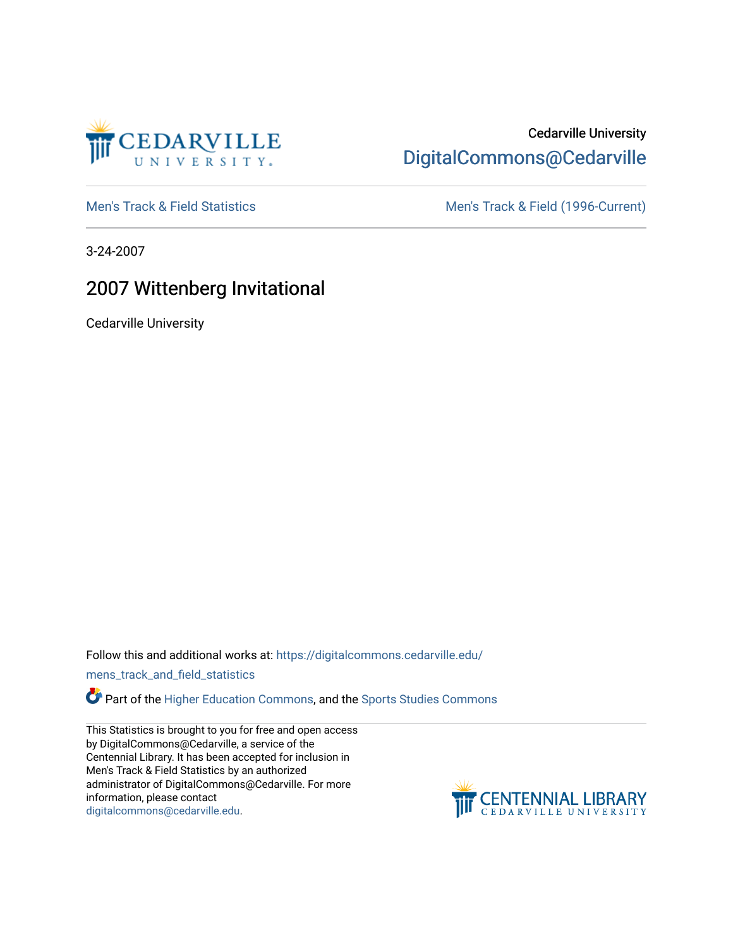

## Cedarville University [DigitalCommons@Cedarville](https://digitalcommons.cedarville.edu/)

[Men's Track & Field Statistics](https://digitalcommons.cedarville.edu/mens_track_and_field_statistics) [Men's Track & Field \(1996-Current\)](https://digitalcommons.cedarville.edu/mens_track_and_field) 

3-24-2007

# 2007 Wittenberg Invitational

Cedarville University

Follow this and additional works at: [https://digitalcommons.cedarville.edu/](https://digitalcommons.cedarville.edu/mens_track_and_field_statistics?utm_source=digitalcommons.cedarville.edu%2Fmens_track_and_field_statistics%2F164&utm_medium=PDF&utm_campaign=PDFCoverPages)

[mens\\_track\\_and\\_field\\_statistics](https://digitalcommons.cedarville.edu/mens_track_and_field_statistics?utm_source=digitalcommons.cedarville.edu%2Fmens_track_and_field_statistics%2F164&utm_medium=PDF&utm_campaign=PDFCoverPages)

**Part of the [Higher Education Commons,](http://network.bepress.com/hgg/discipline/1245?utm_source=digitalcommons.cedarville.edu%2Fmens_track_and_field_statistics%2F164&utm_medium=PDF&utm_campaign=PDFCoverPages) and the Sports Studies Commons** 

This Statistics is brought to you for free and open access by DigitalCommons@Cedarville, a service of the Centennial Library. It has been accepted for inclusion in Men's Track & Field Statistics by an authorized administrator of DigitalCommons@Cedarville. For more information, please contact [digitalcommons@cedarville.edu](mailto:digitalcommons@cedarville.edu).

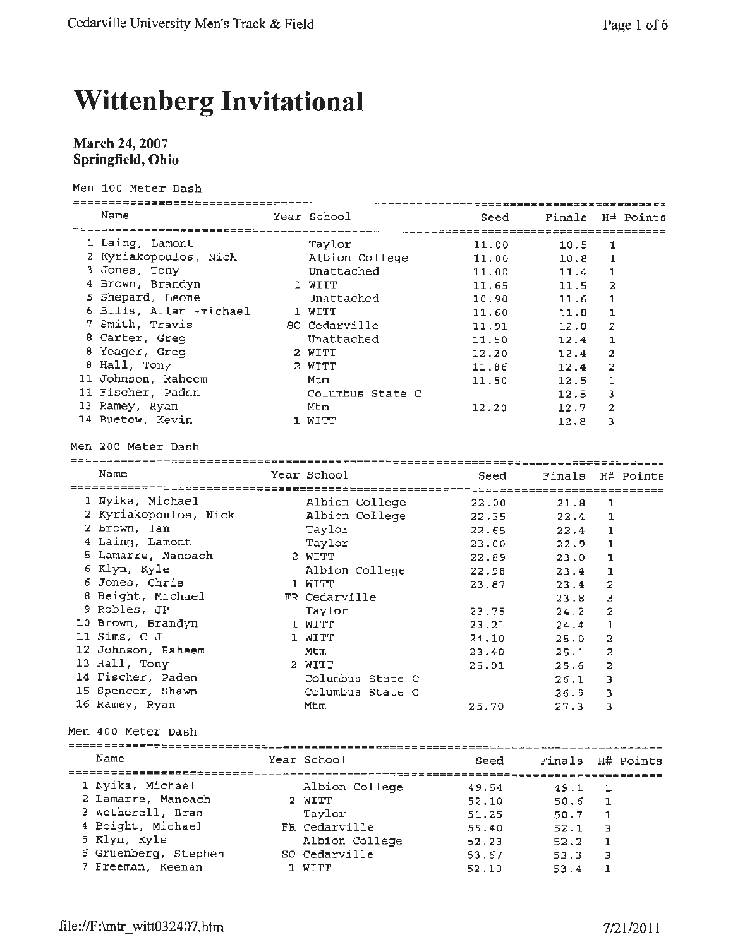# **Wittenberg Invitational**

## **March** 24, **2007 Springfield, Ohio**

Men 100 Meter Dash

| Name                    | Year School      | Seed  | Finals H# Points |                         |           |
|-------------------------|------------------|-------|------------------|-------------------------|-----------|
|                         |                  |       |                  |                         |           |
| 1 Laing, Lamont         | Taylor           | 11.00 | 10.5             | ı                       |           |
| 2 Kyriakopoulos, Nick   | Albion College   | 11.00 | 10.8             | 1                       |           |
| 3 Jones, Tony           | Unattached       | 11.00 | 11.4             | 1                       |           |
| 4 Brown, Brandyn        | 1 WITT           | 11.65 | 11.5             | 2                       |           |
| 5 Shepard, Leone        | Unattached       | 10.90 | 11.6             | 1                       |           |
| 6 Bills, Allan -michael | 1 WITT           | 11.60 | 11.8             | 1                       |           |
| 7 Smith, Travis         | SO Cedarville    | 11.91 | 12.0             | 2                       |           |
| 8 Carter, Greg          | Unattached       | 11.50 | 12.4             | 1                       |           |
| 8 Yeager, Greg          | 2 WITT           | 12.20 | 12.4             | 2                       |           |
| 8 Hall, Tony            | 2 WITT           | 11.86 | 12.4             | 2                       |           |
| 11 Johnson, Raheem      | Mtm              | 11.50 | 12.5             | 1                       |           |
| 11 Fischer, Paden       | Columbus State C |       | 12.5             | 3                       |           |
| 13 Ramey, Ryan          | Mtm              | 12.20 | 12.7             | 2                       |           |
| 14 Buetow, Kevin        | 1 WITT           |       | 12.8             | з                       |           |
| Men 200 Meter Dash      |                  |       |                  |                         |           |
|                         |                  |       |                  |                         |           |
| Name                    | Year School      | Seed  | Finals H# Points |                         |           |
|                         |                  |       |                  |                         |           |
| 1 Nyika, Michael        | Albion College   | 22.00 | 21.8             | 1                       |           |
| 2 Kyriakopoulos, Nick   | Albion College   | 22,35 | 22.4             | 1                       |           |
| 2 Brown, Ian            | Taylor           | 22.65 | 22.4             | 1                       |           |
| 4 Laing, Lamont         | Taylor           | 23.00 | 22.9             | 1                       |           |
| 5 Lamarre, Manoach      | 2 WITT           | 22.89 | 23.0             | 1                       |           |
| 6 Klyn, Kyle            | Albion College   | 22.98 | 23.4             | 1                       |           |
| 6 Jones, Chris          | 1 WITT           | 23.87 | 23.4             | $\overline{2}$          |           |
| 8 Beight, Michael       | FR Cedarville    |       | 23.8             | 3                       |           |
| 9 Robles, JP            | Taylor           | 23.75 | 24.2             | 2                       |           |
| 10 Brown, Brandyn       | 1 WITT           | 23.21 | 24.4             | 1                       |           |
| 11 Sims, C J            | 1 WITT           | 24.10 | 25.0             | $\overline{\mathbf{2}}$ |           |
| 12 Johnson, Raheem      | Mtm              | 23.40 | 25.1             | 2                       |           |
| 13 Hall, Tony           | 2 WITT           | 25.01 | 25.6             | 2                       |           |
| 14 Fischer, Paden       | Columbus State C |       | 26.1             | 3                       |           |
| 15 Spencer, Shawn       | Columbus State C |       | 26.9             | з                       |           |
| 16 Ramey, Ryan          | Mtm              | 25.70 | 27.3             | 3                       |           |
| Men 400 Meter Dash      |                  |       |                  |                         |           |
|                         |                  |       |                  |                         |           |
| Name                    | Year School      | Seed  | Finals           |                         | H# Points |
| 1 Nyika, Michael        | Albion College   |       |                  |                         |           |
| 2 Lamarre, Manoach      | 2 WITT           | 49.54 | 49.1             | 1                       |           |
| 3 Wetherell, Brad       |                  | 52.10 | 50.6             | ı                       |           |
| 4 Beight, Michael       | Taylor           | 51.25 | 50.7             | 1                       |           |
| 5 Klyn, Kyle            | FR Cedarville    | 55.40 | 52.1             | з                       |           |
|                         | Albion College   | 52.23 | 52.2             | $\mathbf{1}$            |           |
| 6 Gruenberg, Stephen    | SO Cedarville    | 53.67 | 53.3             | з                       |           |
| 7 Freeman, Keenan       | 1 WITT           | 52.10 | 53.4             | 1                       |           |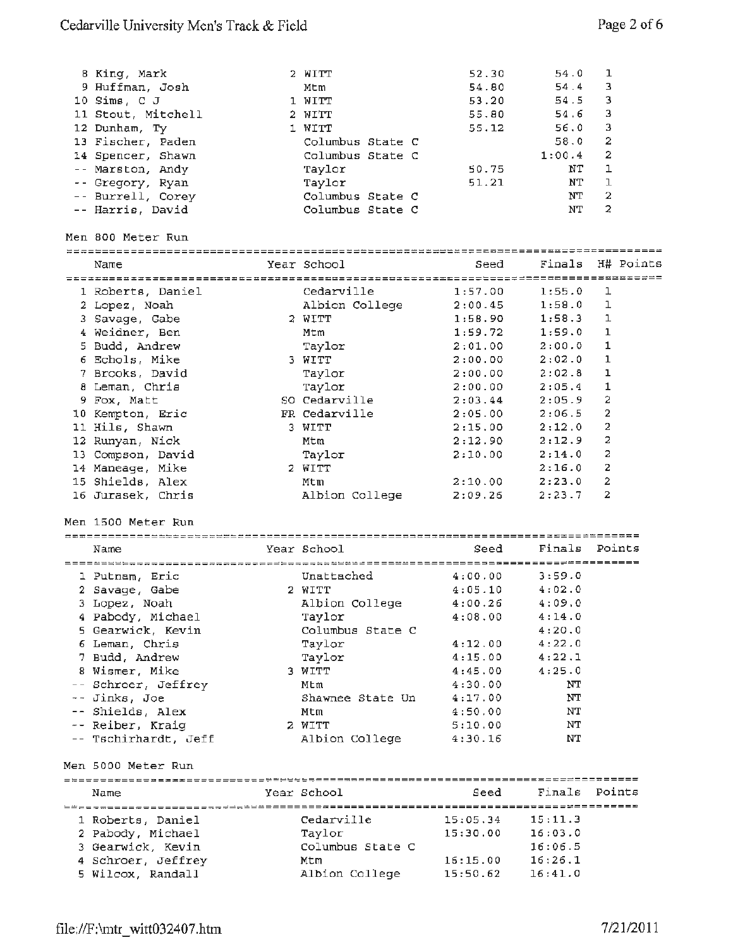| 8 King, Mark<br>9 Huffman, Josh<br>10 Sims, C J<br>11 Stout, Mitchell<br>12 Dunham, Ty<br>13 Fischer, Paden<br>14 Spencer, Shawn<br>-- Marston, Andy<br>-- Gregory, Ryan<br>-- Burrell, Corey<br>-- Harris, David<br>Men 800 Meter Run | 2 WITT<br>Mtm<br>1 WITT<br>2 WITT<br>1 WITT<br>Columbus State C<br>Columbus State C<br>Taylor<br>Taylor<br>Columbus State C<br>Columbus State C | 52.30<br>54.80<br>53.20<br>55.80<br>55.12<br>50.75<br>51.21 | 54.0<br>54.4<br>54.5<br>54.6<br>56.0<br>58.0<br>1:00.4<br>NΤ<br>NΤ<br>NΤ<br>NT | 1<br>3<br>3<br>3<br>3<br>2<br>2<br>$\mathbf{1}$<br>$\mathbf{I}$<br>$\overline{2}$<br>2 |
|----------------------------------------------------------------------------------------------------------------------------------------------------------------------------------------------------------------------------------------|-------------------------------------------------------------------------------------------------------------------------------------------------|-------------------------------------------------------------|--------------------------------------------------------------------------------|----------------------------------------------------------------------------------------|
|                                                                                                                                                                                                                                        |                                                                                                                                                 |                                                             | Finals                                                                         | H# Points                                                                              |
| Name                                                                                                                                                                                                                                   | Year School                                                                                                                                     | Seed                                                        |                                                                                |                                                                                        |
|                                                                                                                                                                                                                                        | Cedarville                                                                                                                                      |                                                             |                                                                                |                                                                                        |
| 1 Roberts, Daniel                                                                                                                                                                                                                      | Albion College                                                                                                                                  | 1:57.00                                                     | 1:55.0<br>1:58.0                                                               | ı<br>1                                                                                 |
| 2 Lopez, Noah<br>3 Savage, Gabe                                                                                                                                                                                                        | 2 WITT                                                                                                                                          | 2:00.45<br>1:58.90                                          | 1:58.3                                                                         | 1                                                                                      |
| 4 Weidner, Ben                                                                                                                                                                                                                         | Mtm                                                                                                                                             | 1:59.72                                                     | 1:59.0                                                                         | 1                                                                                      |
| 5 Budd, Andrew                                                                                                                                                                                                                         | Taylor                                                                                                                                          | 2:01.00                                                     | 2:00.0                                                                         | 1                                                                                      |
| 6 Echols, Mike                                                                                                                                                                                                                         | 3 WITT                                                                                                                                          | 2:00.00                                                     | 2:02:0                                                                         | 1                                                                                      |
| 7 Brooks, David                                                                                                                                                                                                                        | Taylor                                                                                                                                          | 2:00.00                                                     | 2:02.8                                                                         | ı                                                                                      |
| 8 Leman, Chris                                                                                                                                                                                                                         | Taylor                                                                                                                                          | 2:00.00                                                     | 2:05.4                                                                         | 1                                                                                      |
| 9 Fox, Matt                                                                                                                                                                                                                            | SO Cedarville                                                                                                                                   | 2:03.44                                                     | 2:05.9                                                                         | $\overline{a}$                                                                         |
| 10 Kempton, Eric                                                                                                                                                                                                                       | FR Cedarville                                                                                                                                   | 2:05.00                                                     | 2:06.5                                                                         | $\overline{a}$                                                                         |
| 11 Hils, Shawn                                                                                                                                                                                                                         | 3 WITT                                                                                                                                          | 2:15.00                                                     | 2:12.0                                                                         | 2                                                                                      |
| 12 Runyan, Nick                                                                                                                                                                                                                        | Mtm                                                                                                                                             | 2:12.90                                                     | 2:12.9                                                                         | 2                                                                                      |
| 13 Compson, David                                                                                                                                                                                                                      | Taylor                                                                                                                                          | 2:10.00                                                     | 2:14.0                                                                         | 2                                                                                      |
| 14 Maneage, Mike                                                                                                                                                                                                                       | 2 WITT                                                                                                                                          |                                                             | 2:16.0                                                                         | 2                                                                                      |
| 15 Shields, Alex                                                                                                                                                                                                                       | Mtm                                                                                                                                             | 2:10.00                                                     | 2:23.0                                                                         | 2                                                                                      |
| 16 Jurasek, Chris                                                                                                                                                                                                                      | Albion College                                                                                                                                  | 2:09.26                                                     | 2:23.7                                                                         | 2                                                                                      |
|                                                                                                                                                                                                                                        |                                                                                                                                                 |                                                             |                                                                                |                                                                                        |
| Men 1500 Meter Run                                                                                                                                                                                                                     |                                                                                                                                                 |                                                             |                                                                                |                                                                                        |
|                                                                                                                                                                                                                                        |                                                                                                                                                 | -------------------------------------                       |                                                                                |                                                                                        |
| Name                                                                                                                                                                                                                                   | Year School                                                                                                                                     | Seed                                                        | Finals                                                                         | Points                                                                                 |
|                                                                                                                                                                                                                                        |                                                                                                                                                 |                                                             |                                                                                |                                                                                        |
| 1 Putnam, Eric                                                                                                                                                                                                                         | Unattached                                                                                                                                      | 4:00.00                                                     | 3:59.0                                                                         |                                                                                        |
| 2 Savage, Gabe                                                                                                                                                                                                                         | 2 WITT                                                                                                                                          | 4:05.10                                                     | 4:02.0<br>4:09.0                                                               |                                                                                        |
| 3 Lopez, Noah                                                                                                                                                                                                                          | Albion College                                                                                                                                  | 4:00.26                                                     |                                                                                |                                                                                        |
| 4 Pabody, Michael                                                                                                                                                                                                                      | Taylor                                                                                                                                          | 4:08.00                                                     | 4:14.0                                                                         |                                                                                        |
| 5 Gearwick, Kevin                                                                                                                                                                                                                      | Columbus State C                                                                                                                                | 4:12.00                                                     | 4:20.0<br>4:22.0                                                               |                                                                                        |
| 6 Leman, Chris                                                                                                                                                                                                                         | Taylor                                                                                                                                          |                                                             |                                                                                |                                                                                        |
|                                                                                                                                                                                                                                        |                                                                                                                                                 |                                                             |                                                                                |                                                                                        |
| 7 Budd, Andrew                                                                                                                                                                                                                         | Taylor                                                                                                                                          | 4:15.00                                                     | 4:22.1                                                                         |                                                                                        |
| 8 Wismer, Mike                                                                                                                                                                                                                         | 3 WITT                                                                                                                                          | 4:45.00                                                     | 4:25.0                                                                         |                                                                                        |
| -- Schroer, Jeffrey                                                                                                                                                                                                                    | Mtm                                                                                                                                             | 4:30.00                                                     | NΤ                                                                             |                                                                                        |
| -- Jinks, Joe                                                                                                                                                                                                                          | Shawnee State Un                                                                                                                                | 4:17.00                                                     | NT                                                                             |                                                                                        |
| -- Shields, Alex                                                                                                                                                                                                                       | Mtm                                                                                                                                             | 4:50.00                                                     | NΤ                                                                             |                                                                                        |
| -- Reiber, Kraig                                                                                                                                                                                                                       | 2 WITT                                                                                                                                          | 5:10.00                                                     | NΤ                                                                             |                                                                                        |
| -- Tschirhardt, Jeff                                                                                                                                                                                                                   | Albion College                                                                                                                                  | 4:30.16                                                     | NΤ                                                                             |                                                                                        |
| Men 5000 Meter Run                                                                                                                                                                                                                     |                                                                                                                                                 |                                                             |                                                                                |                                                                                        |
| Name                                                                                                                                                                                                                                   | Year School                                                                                                                                     | Seed                                                        | Finals                                                                         | Points                                                                                 |
|                                                                                                                                                                                                                                        |                                                                                                                                                 |                                                             |                                                                                |                                                                                        |
| 1 Roberts, Daniel                                                                                                                                                                                                                      | Cedarville                                                                                                                                      | 15:05.34                                                    | 15:11.3                                                                        |                                                                                        |
|                                                                                                                                                                                                                                        | Taylor                                                                                                                                          | 15:30.00                                                    | 16:03.0                                                                        |                                                                                        |
| 2 Pabody, Michael<br>3 Gearwick, Kevin                                                                                                                                                                                                 | Columbus State C                                                                                                                                |                                                             | 16:06.5                                                                        |                                                                                        |
| 4 Schroer, Jeffrey                                                                                                                                                                                                                     | Mtm                                                                                                                                             | 16:15.00                                                    | 16:26.1                                                                        |                                                                                        |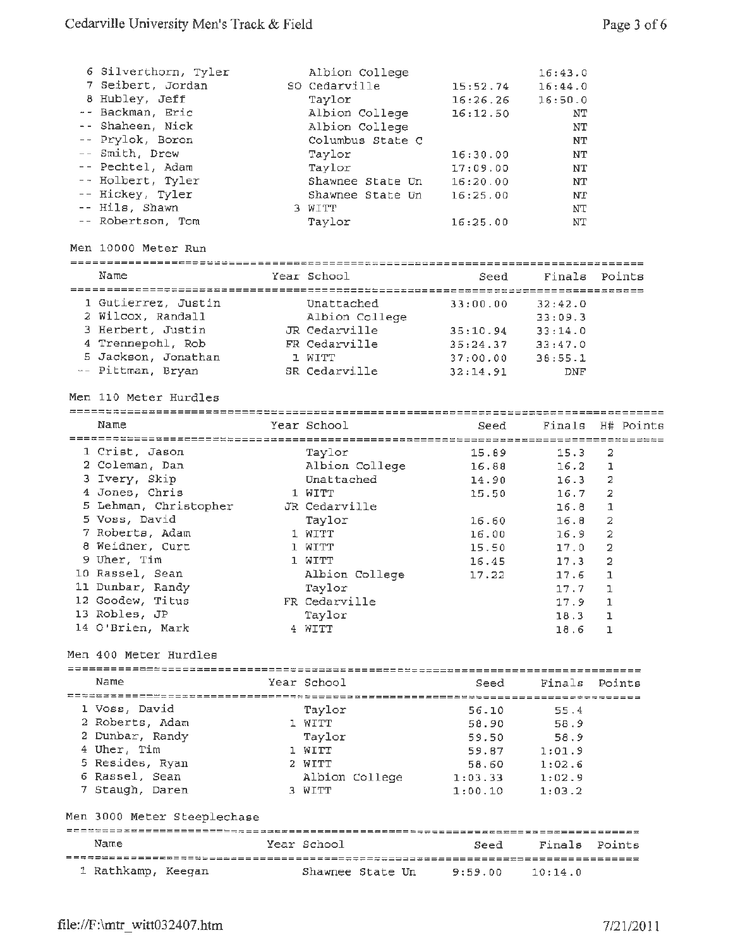| 6 Silverthorn, Tyler<br>7 Seibert, Jordan<br>8 Hubley, Jeff<br>-- Backman, Eric<br>-- Shaheen, Nick<br>-- Prylok, Boron<br>-- Smith, Drew<br>-- Pechtel, Adam<br>-- Holbert, Tyler<br>-- Hickey, Tyler<br>-- Hils, Shawn<br>-- Robertson, Tom | Albion College<br>SO Cedarville<br>Taylor<br>Albion College<br>Albion College<br>Columbus State C<br>Taylor<br>Taylor<br>Shawnee State Un<br>Shawnee State Un<br>3 WITT<br>Taylor | 15:52.74<br>16:26.26<br>16:12.50<br>16:30.00<br>17:09.00<br>16:20.00<br>16:25.00<br>16:25.00 | 16:43.0<br>16:44.0<br>16:50.0<br>NΤ<br>NT<br>$\rm{NT}$<br>NT<br>NT<br>NT<br>NT.<br>NT<br>NΤ |                                       |
|-----------------------------------------------------------------------------------------------------------------------------------------------------------------------------------------------------------------------------------------------|-----------------------------------------------------------------------------------------------------------------------------------------------------------------------------------|----------------------------------------------------------------------------------------------|---------------------------------------------------------------------------------------------|---------------------------------------|
| Men 10000 Meter Run                                                                                                                                                                                                                           |                                                                                                                                                                                   |                                                                                              |                                                                                             |                                       |
| Name                                                                                                                                                                                                                                          | Year School                                                                                                                                                                       | Seed                                                                                         | Finals                                                                                      | Points                                |
| 1 Gutierrez, Justin<br>2 Wilcox, Randall<br>3 Herbert, Justin<br>4 Trennepohl, Rob<br>5 Jackson, Jonathan<br>-- Pittman, Bryan<br>Men 110 Meter Hurdles                                                                                       | Unattached<br>Albion College<br>JR Cedarville<br>FR Cedarville<br>1 WITT<br>SR Cedarville                                                                                         | 33:00.00<br>35:10.94<br>35:24.37<br>37:00.00<br>32:14.91                                     | 32:42.0<br>33:09.3<br>33:14.0<br>33:47.0<br>38:55.1<br>DNF                                  |                                       |
| Name                                                                                                                                                                                                                                          |                                                                                                                                                                                   |                                                                                              |                                                                                             |                                       |
|                                                                                                                                                                                                                                               | Year School                                                                                                                                                                       | Seed                                                                                         | Finals                                                                                      | H# Points                             |
| 1 Crist, Jason<br>2 Coleman, Dan<br>3 Ivery, Skip<br>4 Jones, Chris<br>5 Lehman, Christopher<br>5 Voss, David<br>7 Roberts, Adam                                                                                                              | Taylor<br>Albion College<br>Unattached<br>1 WITT<br>JR Cedarville<br>Taylor<br>1 WITT                                                                                             | 15.89<br>16.88<br>14.90<br>15.50<br>16.60<br>16.00                                           | 15.3<br>16.2<br>16.3<br>16.7<br>16.8<br>16.8<br>16.9                                        | 2<br>ı<br>2<br>2<br>1<br>2<br>2       |
| 8 Weidner, Curt<br>9 Uher, Tim<br>10 Rassel, Sean<br>11 Dunbar, Randy<br>12 Goodew, Titus<br>13 Robles, JP<br>14 O'Brien, Mark                                                                                                                | 1 WITT<br>1 WITT<br>Albion College<br>Taylor<br>FR Cedarville<br>Taylor<br>4 WITT                                                                                                 | 15.50<br>16.45<br>17.22                                                                      | 17.0<br>17.3<br>17.6<br>17.7<br>17.9<br>18.3<br>18.6                                        | 2<br>2<br>1<br>ı<br>$\,1\,$<br>ı<br>ı |
| Men 400 Meter Hurdles                                                                                                                                                                                                                         |                                                                                                                                                                                   |                                                                                              |                                                                                             |                                       |
| Name                                                                                                                                                                                                                                          | Year School                                                                                                                                                                       | Seed                                                                                         | Finals                                                                                      | Points                                |
| 1 Voss, David<br>2 Roberts, Adam<br>2 Dunbar, Randy<br>4 Uher, Tim<br>5 Resides, Ryan<br>6 Rassel, Sean<br>7 Staugh, Daren<br>Men 3000 Meter Steeplechase                                                                                     | Taylor<br>1 WITT<br>Taylor<br>1 WITT<br>2 WITT<br>Albion College<br>3 WITT                                                                                                        | 56.10<br>58.90<br>59.50<br>59.87<br>58.60<br>1:03.33<br>1:00.10                              | 55.4<br>58.9<br>58.9<br>1:01.9<br>1:02.6<br>1:02.9<br>1:03.2                                |                                       |
| Name                                                                                                                                                                                                                                          | Year School                                                                                                                                                                       | Seed                                                                                         | Finals                                                                                      | Points                                |
| 1 Rathkamp, Keegan                                                                                                                                                                                                                            | Shawnee State Un                                                                                                                                                                  | 9:59.00                                                                                      | 10:14.0                                                                                     |                                       |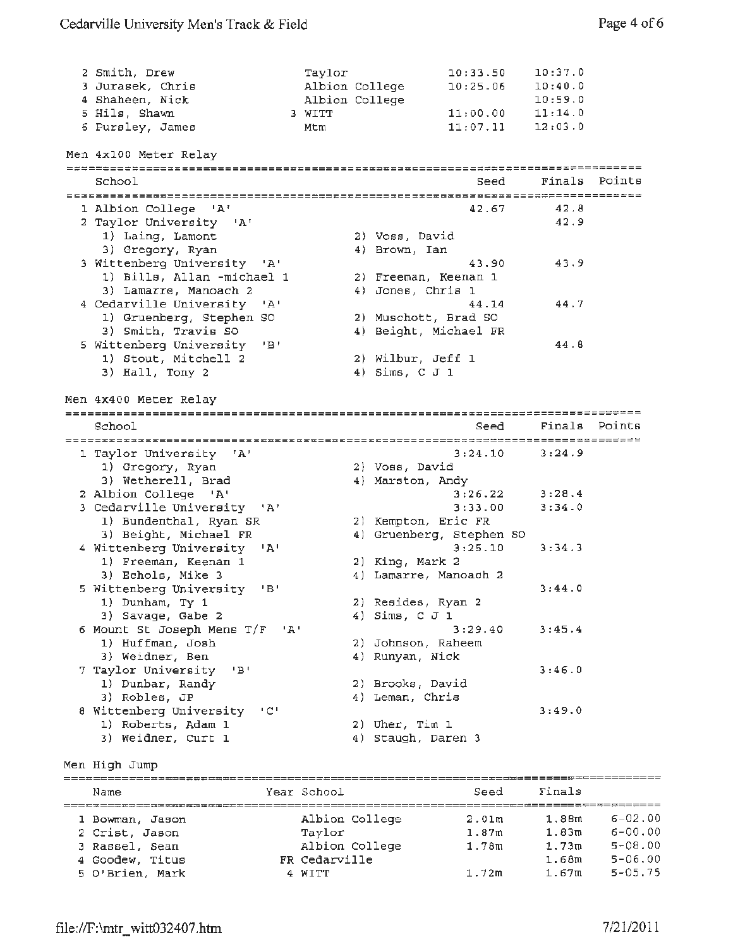| 2 Smith, Drew<br>3 Jurasek, Chris<br>4 Shaheen, Nick<br>5 Hils, Shawn | Taylor<br>Albion College<br>Albion College<br>3 WITT |                  | 10:33.50<br>10:25.06<br>11:00.00 | 10:37.0<br>10:40.0<br>10:59.0<br>11:14.0 |        |
|-----------------------------------------------------------------------|------------------------------------------------------|------------------|----------------------------------|------------------------------------------|--------|
| 6 Pursley, James                                                      | Mtm                                                  |                  | 11:07.11                         | 12:03.0                                  |        |
| Men 4x100 Meter Relay                                                 |                                                      |                  |                                  |                                          |        |
| School                                                                |                                                      |                  | Seed                             | Finals                                   | Points |
|                                                                       |                                                      |                  |                                  |                                          |        |
| 1 Albion College 'A'                                                  |                                                      |                  | 42.67                            | 42.8                                     |        |
| 2 Taylor University 'A'                                               |                                                      |                  |                                  | 42.9                                     |        |
| 1) Laing, Lamont                                                      |                                                      | 2) Voss, David   |                                  |                                          |        |
| 3) Gregory, Ryan                                                      |                                                      | 4) Brown, Ian    |                                  |                                          |        |
| 3 Wittenberg University 'A'                                           |                                                      |                  | 43.90                            | 43.9                                     |        |
| 1) Bills, Allan -michael 1                                            |                                                      |                  | 2) Freeman, Keenan 1             |                                          |        |
| 3) Lamarre, Manoach 2                                                 |                                                      |                  | 4) Jones, Chris 1                |                                          |        |
| 4 Cedarville University<br>$^{\prime}$ A $^{\prime}$                  |                                                      |                  | 44.14                            | 44.7                                     |        |
| 1) Gruenberg, Stephen SO                                              |                                                      |                  | 2) Muschott, Brad SO             |                                          |        |
| 3) Smith, Travis SO                                                   |                                                      |                  | 4) Beight, Michael FR            |                                          |        |
| 5 Wittenberg University<br>'B'                                        |                                                      |                  |                                  | 44.6                                     |        |
| 1) Stout, Mitchell 2                                                  |                                                      |                  | 2) Wilbur, Jeff 1                |                                          |        |
| 3) Hall, Tony 2                                                       |                                                      | 4) $Sims, C J 1$ |                                  |                                          |        |
|                                                                       |                                                      |                  |                                  |                                          |        |
| Men 4x400 Meter Relay                                                 |                                                      |                  |                                  |                                          |        |
|                                                                       |                                                      |                  |                                  |                                          |        |
| School                                                                |                                                      |                  | Seed                             | Finals                                   | Points |
|                                                                       |                                                      |                  |                                  |                                          |        |
| 1 Taylor University 'A'                                               |                                                      |                  | 3:24.10                          | 3:24.9                                   |        |
| 1) Gregory, Ryan                                                      |                                                      | 2) Voss, David   |                                  |                                          |        |
| 3) Wetherell, Brad                                                    |                                                      | 4) Marston, Andy |                                  |                                          |        |
| 2 Albion College 'A'                                                  |                                                      |                  | 3:26.22                          | 3:28.4                                   |        |
| 3 Cedarville University<br>$^{\circ}$ A'                              |                                                      |                  | 3:33.00                          | 3:34.0                                   |        |
| 1) Bundenthal, Ryan SR                                                |                                                      |                  | 2) Kempton, Eric FR              |                                          |        |
| 3) Beight, Michael FR                                                 |                                                      |                  | 4) Gruenberg, Stephen SO         |                                          |        |
| 4 Wittenberg University<br>$^+$ $^+$ $^+$                             |                                                      |                  | 3:25.10                          | 3:34.3                                   |        |
| 1) Freeman, Keenan 1                                                  |                                                      | 2) King, Mark 2  |                                  |                                          |        |
| 3) Echols, Mike 3                                                     |                                                      |                  | 4) Lamarre, Manoach 2            |                                          |        |
| 5 Wittenberg University<br>$'$ B $'$                                  |                                                      |                  |                                  | 3:44.0                                   |        |
| 1) Dunham, Ty 1                                                       |                                                      |                  | 2) Resides, Ryan 2               |                                          |        |
| 3) Savage, Gabe 2                                                     |                                                      | 4) Sims, C J 1   |                                  |                                          |        |
| 6 Mount St Joseph Mens T/F<br>י בי                                    |                                                      |                  | 3:29.40                          | 3:45.4                                   |        |
| 1) Huffman, Josh                                                      |                                                      |                  | 2) Johnson, Raheem               |                                          |        |
| 3) Weidner, Ben                                                       |                                                      | 4) Runyan, Nick  |                                  |                                          |        |
| 7 Taylor University<br>"B"                                            |                                                      |                  |                                  | 3:46.0                                   |        |
| 1) Dunbar, Randy                                                      |                                                      | 2) Brooks, David |                                  |                                          |        |
| 3) Robles, JP                                                         |                                                      | 4) Leman, Chris  |                                  |                                          |        |
| 8 Wittenberg University<br>$\pm$ C $\pm$                              |                                                      |                  |                                  | 3:49.0                                   |        |
| 1) Roberts, Adam 1                                                    |                                                      | 2) Uher, Tim 1   |                                  |                                          |        |
| 3) Weidner, Curt 1                                                    |                                                      |                  | 4) Staugh, Daren 3               |                                          |        |

Men High Jump

| --- --- -- - ---- |                |                   |        |                |
|-------------------|----------------|-------------------|--------|----------------|
| Name              | Year School    | Seed              | Finals |                |
| 1 Bowman, Jason   | Albion College | 2.01 <sub>m</sub> | 1.88m  | $6 - 02.00$    |
| 2 Crist, Jason    | Taylor         | 1.87 <sub>m</sub> | 1.83m  | $6 - 00.00$    |
| 3 Rassel, Sean    | Albion College | 1.78m             | 1.73m  | $5 - 08.00$    |
| 4 Goodew, Titus   | FR Cedarville  |                   | 1.68m  | $5 - 06.00$    |
| 5 O'Brien, Mark   | 4 WITT         | 1.72m             | 1.67m  | $5 - 0.5$ . 75 |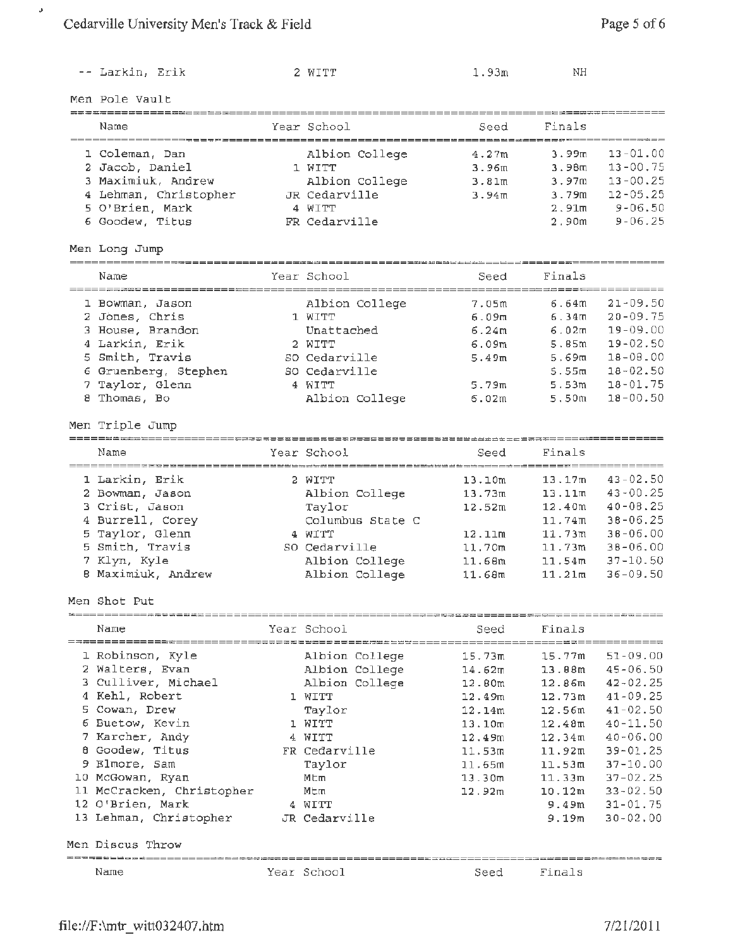$\bar{\mathcal{J}}$ 

|    | -- Larkin, Erik                                      | 2 WITT                              | 1.93m              | NΗ                                |                                    |
|----|------------------------------------------------------|-------------------------------------|--------------------|-----------------------------------|------------------------------------|
|    | Men Pole Vault                                       |                                     |                    |                                   |                                    |
|    |                                                      |                                     |                    |                                   |                                    |
|    | Name                                                 | Year School                         | Seed               | Finals                            |                                    |
|    | 1 Coleman, Dan                                       | Albion College                      | 4.27m              | 3.99m                             | $13 - 01.00$                       |
|    | 2 Jacob, Daniel                                      | 1 WITT                              | 3.96m              | 3.98 <sub>m</sub>                 | $13 - 00.75$                       |
|    | 3 Maximiuk, Andrew                                   | Albion College                      | 3.81 <sub>m</sub>  | 3.97 <sub>m</sub>                 | $13 - 00.25$                       |
|    | 4 Lehman, Christopher                                | JR Cedarville                       | 3.94 <sub>m</sub>  | 3.79m                             | $12 - 05.25$                       |
|    | 5 O'Brien, Mark                                      | 4 WITT                              |                    | 2.91 <sub>m</sub>                 | $9 - 06.50$                        |
|    | 6 Goodew, Titus                                      | FR Cedarville                       |                    | 2.90m                             | $9 - 06.25$                        |
|    | Men Long Jump                                        |                                     |                    |                                   |                                    |
|    | Name                                                 | Year School                         | Seed               | Finals                            |                                    |
|    | ===================================                  |                                     |                    | -------- <del>-------------</del> |                                    |
|    | 1 Bowman, Jason                                      | Albion College                      | 7.05m              | 6.64m                             | $21 - 09.50$                       |
|    | 2 Jones, Chris                                       | 1 WITT                              | 6.09m              | 6.34m                             | $20 - 09.75$                       |
|    | 3 House, Brandon                                     | Unattached                          | 6.24m              | 6.02m                             | $19 - 09.00$                       |
|    | 4 Larkin, Erik                                       | 2 WITT                              | 6.09m              | 5.65m                             | $19 - 02.50$                       |
|    | 5 Smith, Travis                                      | SO Cedarville                       | 5.49m              | 5.69m                             | $18 - 08 - 00$                     |
|    | 6 Gruenberg, Stephen                                 | SO Cedarville                       |                    | 5.55m                             | $18 - 02.50$                       |
|    | 7 Taylor, Glenn                                      | 4 WITT                              | 5.79m              | 5.53m                             | $18 - 01.75$                       |
|    | 8 Thomas, Bo                                         | Albion College                      | 6.02m              | 5.50m                             | $18 - 00.50$                       |
|    | Men Triple Jump                                      |                                     |                    |                                   |                                    |
|    |                                                      |                                     |                    |                                   |                                    |
|    | Name<br>______________________                       | Year School<br>-------------------- | Seed               | Finals                            |                                    |
|    | 1 Larkin, Erik                                       | 2 WITT                              | 13.10m             | 13.17m                            | $43 - 02.50$                       |
|    | 2 Bowman, Jason                                      | Albion College                      | 13.73m             | 13.11m                            | $43 - 00.25$                       |
|    | 3 Crist, Jason                                       | Taylor                              | 12.52m             | 12.40m                            | $40 - 08.25$                       |
|    | 4 Burrell, Corey                                     | Columbus State C                    |                    | 11.74m                            | $38 - 06.25$                       |
| 5. | Taylor, Glenn                                        | 4 WITT                              | 12.11m             | 11.73m                            | $38 - 06.00$                       |
|    | 5 Smith, Travis                                      | SO Cedarville                       |                    | 11.73m                            | $38 - 06.00$                       |
|    |                                                      |                                     | 11.70m             |                                   |                                    |
|    | 7 Klyn, Kyle                                         | Albion College                      | 11.68m             | 11.54 <sub>m</sub>                | $37 - 10.50$                       |
|    | 8 Maximiuk, Andrew                                   | Albion College                      | 11.68m             | 11.21m                            | $36 - 09.50$                       |
|    | Men Shot Put<br>============ <b>======</b> ========= |                                     |                    |                                   |                                    |
|    | Name                                                 | Year School                         | Seed               | Finals                            |                                    |
|    | 1 Robinson, Kyle                                     | Albion College                      | 15.73m             | 15.77m                            | ==================<br>$51 - 09.00$ |
|    | 2 Walters, Evan                                      | Albion College                      | 14.62m             | 13.88m                            | $45 - 06.50$                       |
|    | 3 Culliver, Michael                                  | Albion College                      | 12.80m             | 12.86m                            | $42 - 02.25$                       |
|    | 4 Kehl, Robert                                       | 1 WITT                              | 12.49m             | 12.73m                            | $41 - 09.25$                       |
|    | 5 Cowan, Drew                                        | Taylor                              | 12.14m             | 12.56m                            | $41 - 02.50$                       |
|    | 6 Buetow, Kevin                                      | 1 WITT                              | 13.10 <sub>m</sub> | 12.48m                            | $40 - 11.50$                       |
|    | 7 Karcher, Andy                                      | 4 WITT                              |                    | 12.34 <sub>m</sub>                | $40 - 06.00$                       |
|    |                                                      |                                     | 12.49m             |                                   |                                    |
|    | 8 Goodew, Titus                                      | FR Cedarville                       | 11.53m             | 11.92m                            | $39 - 01.25$                       |
|    | 9 Elmore, Sam                                        | Taylor                              | 11.65m             | 11.53m                            | $37 - 10.00$                       |
|    | 10 McGowan, Ryan                                     | Mtm                                 | 13.30m             | 11.33m                            | $37 - 02.25$                       |
|    | 11 McCracken, Christopher                            | Mtm                                 | 12.92m             | 10.12m                            | $33 - 02.50$                       |
|    | 12 O'Brien, Mark                                     | 4 WITT                              |                    | 9.49m                             | $31 - 01.75$                       |
|    | 13 Lehman, Christopher                               | JR Cedarville                       |                    | 9.19 <sub>m</sub>                 | $30 - 02,00$                       |
|    | Men Discus Throw<br>---------------                  | ---------------------------------   |                    |                                   |                                    |
|    | Name                                                 | Year School                         | Seed               | Finals                            |                                    |